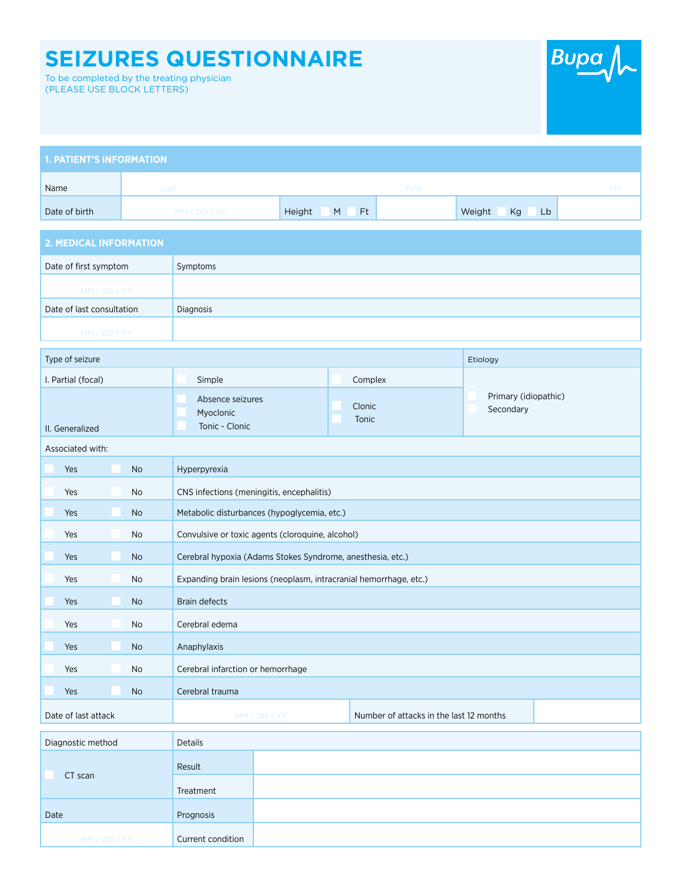## **SEIZURES QUESTIONNAIRE**

To be completed by the treating physician (PLEASE USE BLOCK LETTERS)



| <b>1. PATIENT'S INFORMATION</b> |          |             |       |                    |      |
|---------------------------------|----------|-------------|-------|--------------------|------|
| Name                            | Last     |             | First |                    | M.I. |
| Date of birth                   | MM/DD/YY | Height M Ft |       | Weight<br>Kg<br>Lb |      |

| 2. MEDICAL INFORMATION    |           |  |  |
|---------------------------|-----------|--|--|
| Date of first symptom     | Symptoms  |  |  |
| MM / DD / YY              |           |  |  |
| Date of last consultation | Diagnosis |  |  |
| MM/DD/YY                  |           |  |  |

| Type of seizure     |                                                                   |                                         | Etiology                          |  |  |
|---------------------|-------------------------------------------------------------------|-----------------------------------------|-----------------------------------|--|--|
| I. Partial (focal)  | Simple                                                            | Complex                                 |                                   |  |  |
| II. Generalized     | Absence seizures<br>Myoclonic<br>Tonic - Clonic                   | Clonic<br>Tonic                         | Primary (idiopathic)<br>Secondary |  |  |
| Associated with:    |                                                                   |                                         |                                   |  |  |
| Yes<br><b>No</b>    | Hyperpyrexia                                                      |                                         |                                   |  |  |
| Yes<br><b>No</b>    | CNS infections (meningitis, encephalitis)                         |                                         |                                   |  |  |
| Yes<br><b>No</b>    | Metabolic disturbances (hypoglycemia, etc.)                       |                                         |                                   |  |  |
| Yes<br><b>No</b>    | Convulsive or toxic agents (cloroquine, alcohol)                  |                                         |                                   |  |  |
| Yes<br><b>No</b>    | Cerebral hypoxia (Adams Stokes Syndrome, anesthesia, etc.)        |                                         |                                   |  |  |
| Yes<br><b>No</b>    | Expanding brain lesions (neoplasm, intracranial hemorrhage, etc.) |                                         |                                   |  |  |
| Yes<br><b>No</b>    | <b>Brain defects</b>                                              |                                         |                                   |  |  |
| Yes<br><b>No</b>    | Cerebral edema                                                    |                                         |                                   |  |  |
| Yes<br><b>No</b>    | Anaphylaxis                                                       |                                         |                                   |  |  |
| Yes<br><b>No</b>    | Cerebral infarction or hemorrhage                                 |                                         |                                   |  |  |
| Yes<br><b>No</b>    | Cerebral trauma                                                   |                                         |                                   |  |  |
| Date of last attack | MM / DD / YY                                                      | Number of attacks in the last 12 months |                                   |  |  |
| Diagnostic method   | <b>Details</b>                                                    |                                         |                                   |  |  |

| Diagnostic method | Details           |  |
|-------------------|-------------------|--|
| CT scan           | Result            |  |
|                   | Treatment         |  |
| Date              | Prognosis         |  |
| MM/DD/YY          | Current condition |  |